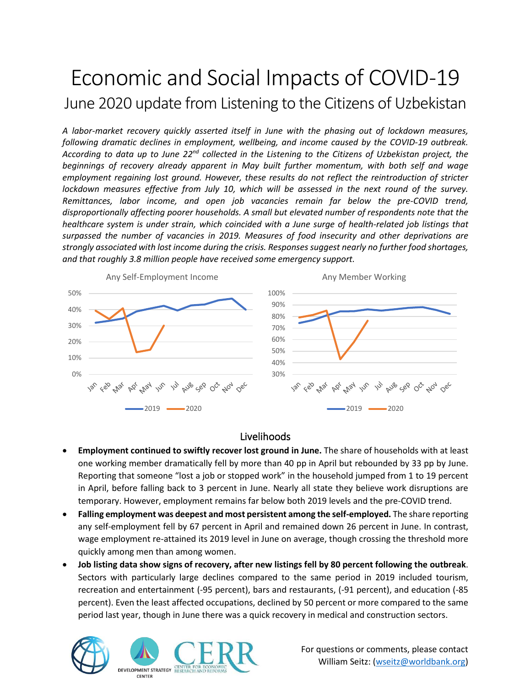# Economic and Social Impacts of COVID-19 June 2020 update from Listening to the Citizens of Uzbekistan

*A labor-market recovery quickly asserted itself in June with the phasing out of lockdown measures, following dramatic declines in employment, wellbeing, and income caused by the COVID-19 outbreak.*  According to data up to June 22<sup>nd</sup> collected in the Listening to the Citizens of Uzbekistan project, the *beginnings of recovery already apparent in May built further momentum, with both self and wage employment regaining lost ground. However, these results do not reflect the reintroduction of stricter lockdown measures effective from July 10, which will be assessed in the next round of the survey. Remittances, labor income, and open job vacancies remain far below the pre-COVID trend, disproportionally affecting poorer households. A small but elevated number of respondents note that the healthcare system is under strain, which coincided with a June surge of health-related job listings that surpassed the number of vacancies in 2019. Measures of food insecurity and other deprivations are strongly associated with lost income during the crisis. Responses suggest nearly no further food shortages, and that roughly 3.8 million people have received some emergency support.*



### Livelihoods

- **Employment continued to swiftly recover lost ground in June.** The share of households with at least one working member dramatically fell by more than 40 pp in April but rebounded by 33 pp by June. Reporting that someone "lost a job or stopped work" in the household jumped from 1 to 19 percent in April, before falling back to 3 percent in June. Nearly all state they believe work disruptions are temporary. However, employment remains far below both 2019 levels and the pre-COVID trend.
- **Falling employment was deepest and most persistent among the self-employed.** The share reporting any self-employment fell by 67 percent in April and remained down 26 percent in June. In contrast, wage employment re-attained its 2019 level in June on average, though crossing the threshold more quickly among men than among women.
- **Job listing data show signs of recovery, after new listings fell by 80 percent following the outbreak**. Sectors with particularly large declines compared to the same period in 2019 included tourism, recreation and entertainment (-95 percent), bars and restaurants, (-91 percent), and education (-85 percent). Even the least affected occupations, declined by 50 percent or more compared to the same period last year, though in June there was a quick recovery in medical and construction sectors.





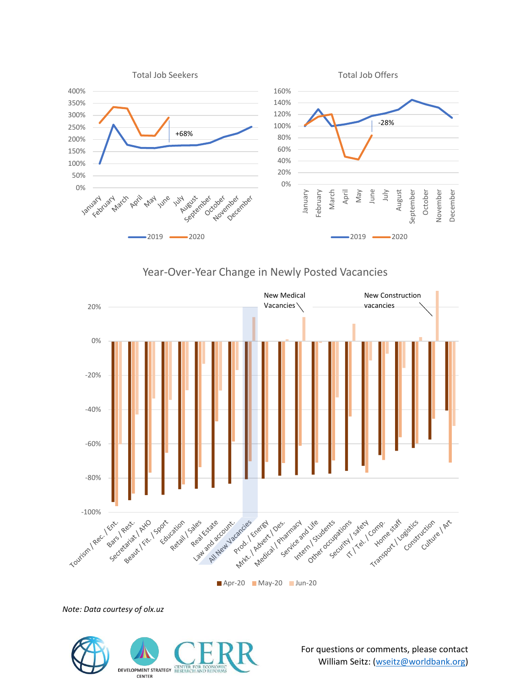

Year-Over-Year Change in Newly Posted Vacancies



**Apr-20 May-20 Jun-20** 

*Note: Data courtesy of olx.uz*

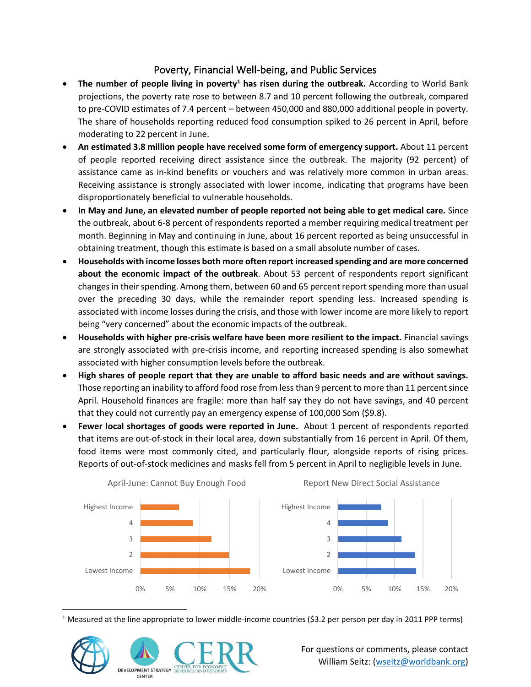## Poverty, Financial Well-being, and Public Services

- **The number of people living in poverty<sup>1</sup> has risen during the outbreak.** According to World Bank projections, the poverty rate rose to between 8.7 and 10 percent following the outbreak, compared to pre-COVID estimates of 7.4 percent – between 450,000 and 880,000 additional people in poverty. The share of households reporting reduced food consumption spiked to 26 percent in April, before moderating to 22 percent in June.
- **An estimated 3.8 million people have received some form of emergency support.** About 11 percent of people reported receiving direct assistance since the outbreak. The majority (92 percent) of assistance came as in-kind benefits or vouchers and was relatively more common in urban areas. Receiving assistance is strongly associated with lower income, indicating that programs have been disproportionately beneficial to vulnerable households.
- **In May and June, an elevated number of people reported not being able to get medical care.** Since the outbreak, about 6-8 percent of respondents reported a member requiring medical treatment per month. Beginning in May and continuing in June, about 16 percent reported as being unsuccessful in obtaining treatment, though this estimate is based on a small absolute number of cases.
- **Households with income losses both more often report increased spending and are more concerned about the economic impact of the outbreak**. About 53 percent of respondents report significant changes in their spending. Among them, between 60 and 65 percent report spending more than usual over the preceding 30 days, while the remainder report spending less. Increased spending is associated with income losses during the crisis, and those with lower income are more likely to report being "very concerned" about the economic impacts of the outbreak.
- **Households with higher pre-crisis welfare have been more resilient to the impact.** Financial savings are strongly associated with pre-crisis income, and reporting increased spending is also somewhat associated with higher consumption levels before the outbreak.
- **High shares of people report that they are unable to afford basic needs and are without savings.** Those reporting an inability to afford food rose from less than 9 percent to more than 11 percent since April. Household finances are fragile: more than half say they do not have savings, and 40 percent that they could not currently pay an emergency expense of 100,000 Som (\$9.8).
- **Fewer local shortages of goods were reported in June.** About 1 percent of respondents reported that items are out-of-stock in their local area, down substantially from 16 percent in April. Of them, food items were most commonly cited, and particularly flour, alongside reports of rising prices. Reports of out-of-stock medicines and masks fell from 5 percent in April to negligible levels in June.



<sup>1</sup> Measured at the line appropriate to lower middle-income countries (\$3.2 per person per day in 2011 PPP terms)

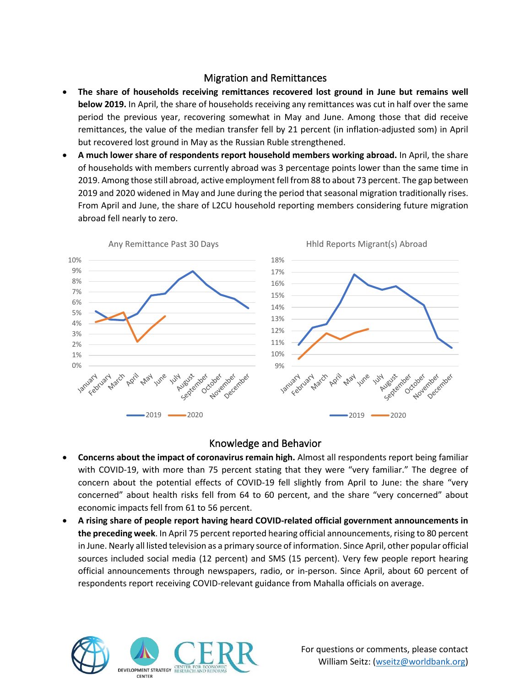#### Migration and Remittances

- **The share of households receiving remittances recovered lost ground in June but remains well below 2019.** In April, the share of households receiving any remittances was cut in half over the same period the previous year, recovering somewhat in May and June. Among those that did receive remittances, the value of the median transfer fell by 21 percent (in inflation-adjusted som) in April but recovered lost ground in May as the Russian Ruble strengthened.
- **A much lower share of respondents report household members working abroad.** In April, the share of households with members currently abroad was 3 percentage points lower than the same time in 2019. Among those still abroad, active employment fell from 88 to about 73 percent. The gap between 2019 and 2020 widened in May and June during the period that seasonal migration traditionally rises. From April and June, the share of L2CU household reporting members considering future migration abroad fell nearly to zero.



#### Knowledge and Behavior

- **Concerns about the impact of coronavirus remain high.** Almost all respondents report being familiar with COVID-19, with more than 75 percent stating that they were "very familiar." The degree of concern about the potential effects of COVID-19 fell slightly from April to June: the share "very concerned" about health risks fell from 64 to 60 percent, and the share "very concerned" about economic impacts fell from 61 to 56 percent.
- **A rising share of people report having heard COVID-related official government announcements in the preceding week**. In April 75 percent reported hearing official announcements, rising to 80 percent in June. Nearly all listed television as a primary source of information. Since April, other popular official sources included social media (12 percent) and SMS (15 percent). Very few people report hearing official announcements through newspapers, radio, or in-person. Since April, about 60 percent of respondents report receiving COVID-relevant guidance from Mahalla officials on average.